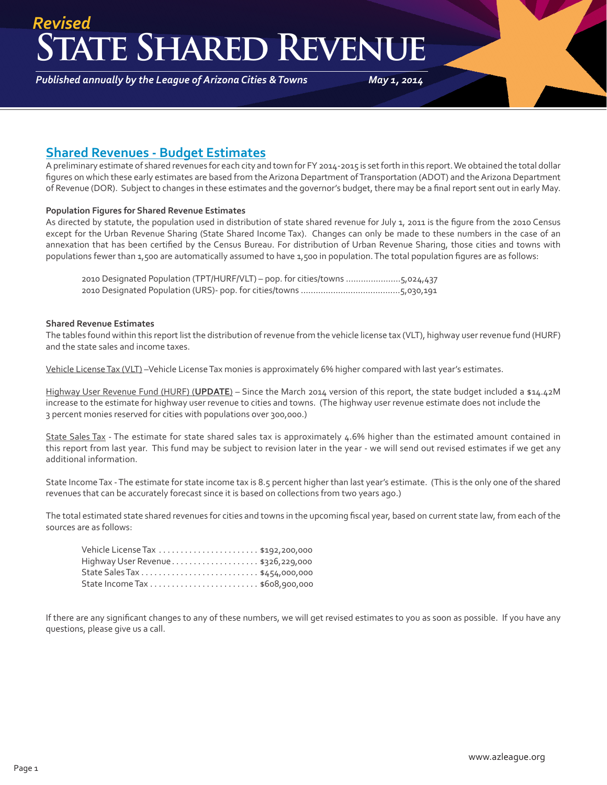### **State Shared Revenue** *Revised*

*Published annually by the League of Arizona Cities & Towns*

*May 1, 2014*

### **Shared Revenues - Budget Estimates**

A preliminary estimate of shared revenues for each city and town for FY 2014-2015 is set forth in this report. We obtained the total dollar figures on which these early estimates are based from the Arizona Department of Transportation (ADOT) and the Arizona Department of Revenue (DOR). Subject to changes in these estimates and the governor's budget, there may be a final report sent out in early May.

#### **Population Figures for Shared Revenue Estimates**

As directed by statute, the population used in distribution of state shared revenue for July 1, 2011 is the figure from the 2010 Census except for the Urban Revenue Sharing (State Shared Income Tax). Changes can only be made to these numbers in the case of an annexation that has been certified by the Census Bureau. For distribution of Urban Revenue Sharing, those cities and towns with populations fewer than 1,500 are automatically assumed to have 1,500 in population. The total population figures are as follows:

2010 Designated Population (TPT/HURF/VLT) – pop. for cities/towns ......................5,024,437 2010 Designated Population (URS)- pop. for cities/towns ........................................5,030,191

#### **Shared Revenue Estimates**

The tables found within this report list the distribution of revenue from the vehicle license tax (VLT), highway user revenue fund (HURF) and the state sales and income taxes.

Vehicle License Tax (VLT) –Vehicle License Tax monies is approximately 6% higher compared with last year's estimates.

Highway User Revenue Fund (HURF) (**UPDATE**) – Since the March 2014 version of this report, the state budget included a \$14.42M increase to the estimate for highway user revenue to cities and towns. (The highway user revenue estimate does not include the 3 percent monies reserved for cities with populations over 300,000.)

State Sales Tax - The estimate for state shared sales tax is approximately 4.6% higher than the estimated amount contained in this report from last year. This fund may be subject to revision later in the year - we will send out revised estimates if we get any additional information.

State Income Tax - The estimate for state income tax is 8.5 percent higher than last year's estimate. (This is the only one of the shared revenues that can be accurately forecast since it is based on collections from two years ago.)

The total estimated state shared revenues for cities and towns in the upcoming fiscal year, based on current state law, from each of the sources are as follows:

| Highway User Revenue\$326,229,000 |  |
|-----------------------------------|--|
|                                   |  |
|                                   |  |

If there are any significant changes to any of these numbers, we will get revised estimates to you as soon as possible. If you have any questions, please give us a call.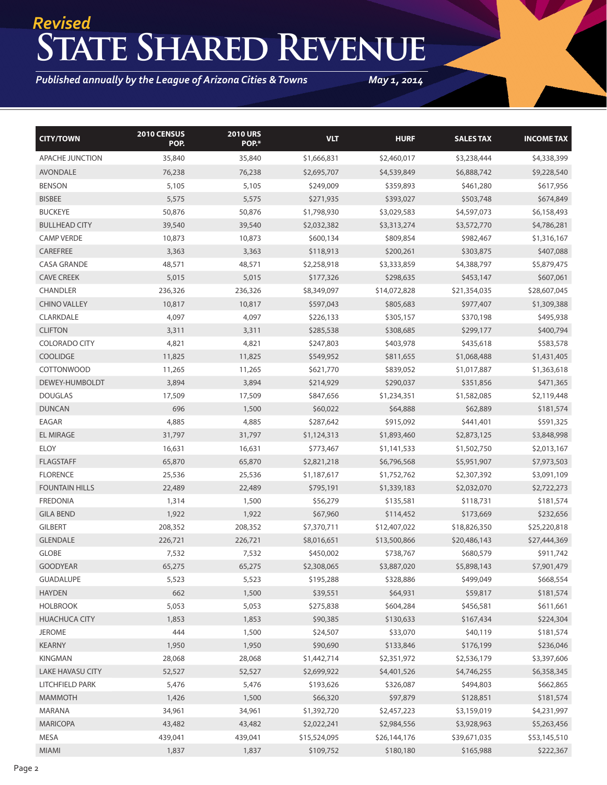## **State Shared Revenue** *Revised*

*Published annually by the League of Arizona Cities & Towns*

*May 1, 2014*

| <b>CITY/TOWN</b>        | 2010 CENSUS<br>POP. | <b>2010 URS</b><br>POP.* | <b>VLT</b>   | <b>HURF</b>  | <b>SALESTAX</b> | <b>INCOME TAX</b> |
|-------------------------|---------------------|--------------------------|--------------|--------------|-----------------|-------------------|
| APACHE JUNCTION         | 35,840              | 35,840                   | \$1,666,831  | \$2,460,017  | \$3,238,444     | \$4,338,399       |
| <b>AVONDALE</b>         | 76,238              | 76,238                   | \$2,695,707  | \$4,539,849  | \$6,888,742     | \$9,228,540       |
| <b>BENSON</b>           | 5,105               | 5,105                    | \$249,009    | \$359,893    | \$461,280       | \$617,956         |
| <b>BISBEE</b>           | 5,575               | 5,575                    | \$271,935    | \$393,027    | \$503,748       | \$674,849         |
| <b>BUCKEYE</b>          | 50,876              | 50,876                   | \$1,798,930  | \$3,029,583  | \$4,597,073     | \$6,158,493       |
| <b>BULLHEAD CITY</b>    | 39,540              | 39,540                   | \$2,032,382  | \$3,313,274  | \$3,572,770     | \$4,786,281       |
| <b>CAMP VERDE</b>       | 10,873              | 10,873                   | \$600,134    | \$809,854    | \$982,467       | \$1,316,167       |
| CAREFREE                | 3,363               | 3,363                    | \$118,913    | \$200,261    | \$303,875       | \$407,088         |
| <b>CASA GRANDE</b>      | 48,571              | 48,571                   | \$2,258,918  | \$3,333,859  | \$4,388,797     | \$5,879,475       |
| <b>CAVE CREEK</b>       | 5,015               | 5,015                    | \$177,326    | \$298,635    | \$453,147       | \$607,061         |
| <b>CHANDLER</b>         | 236,326             | 236,326                  | \$8,349,097  | \$14,072,828 | \$21,354,035    | \$28,607,045      |
| <b>CHINO VALLEY</b>     | 10,817              | 10,817                   | \$597,043    | \$805,683    | \$977,407       | \$1,309,388       |
| CLARKDALE               | 4,097               | 4,097                    | \$226,133    | \$305,157    | \$370,198       | \$495,938         |
| <b>CLIFTON</b>          | 3,311               | 3,311                    | \$285,538    | \$308,685    | \$299,177       | \$400,794         |
| <b>COLORADO CITY</b>    | 4,821               | 4,821                    | \$247,803    | \$403,978    | \$435,618       | \$583,578         |
| <b>COOLIDGE</b>         | 11,825              | 11,825                   | \$549,952    | \$811,655    | \$1,068,488     | \$1,431,405       |
| <b>COTTONWOOD</b>       | 11,265              | 11,265                   | \$621,770    | \$839,052    | \$1,017,887     | \$1,363,618       |
| DEWEY-HUMBOLDT          | 3,894               | 3,894                    | \$214,929    | \$290,037    | \$351,856       | \$471,365         |
| <b>DOUGLAS</b>          | 17,509              | 17,509                   | \$847,656    | \$1,234,351  | \$1,582,085     | \$2,119,448       |
| <b>DUNCAN</b>           | 696                 | 1,500                    | \$60,022     | \$64,888     | \$62,889        | \$181,574         |
| EAGAR                   | 4,885               | 4,885                    | \$287,642    | \$915,092    | \$441,401       | \$591,325         |
| EL MIRAGE               | 31,797              | 31,797                   | \$1,124,313  | \$1,893,460  | \$2,873,125     | \$3,848,998       |
| <b>ELOY</b>             | 16,631              | 16,631                   | \$773,467    | \$1,141,533  | \$1,502,750     | \$2,013,167       |
| <b>FLAGSTAFF</b>        | 65,870              | 65,870                   | \$2,821,218  | \$6,796,568  | \$5,951,907     | \$7,973,503       |
| <b>FLORENCE</b>         | 25,536              | 25,536                   | \$1,187,617  | \$1,752,762  | \$2,307,392     | \$3,091,109       |
| <b>FOUNTAIN HILLS</b>   | 22,489              | 22,489                   | \$795,191    | \$1,339,183  | \$2,032,070     | \$2,722,273       |
| <b>FREDONIA</b>         | 1,314               | 1,500                    | \$56,279     | \$135,581    | \$118,731       | \$181,574         |
| <b>GILA BEND</b>        | 1,922               | 1,922                    | \$67,960     | \$114,452    | \$173,669       | \$232,656         |
| <b>GILBERT</b>          | 208,352             | 208,352                  | \$7,370,711  | \$12,407,022 | \$18,826,350    | \$25,220,818      |
| <b>GLENDALE</b>         | 226,721             | 226,721                  | \$8,016,651  | \$13,500,866 | \$20,486,143    | \$27,444,369      |
| <b>GLOBE</b>            | 7,532               | 7,532                    | \$450,002    | \$738,767    | \$680,579       | \$911,742         |
| <b>GOODYEAR</b>         | 65,275              | 65,275                   | \$2,308,065  | \$3,887,020  | \$5,898,143     | \$7,901,479       |
| <b>GUADALUPE</b>        | 5,523               | 5,523                    | \$195,288    | \$328,886    | \$499,049       | \$668,554         |
| <b>HAYDEN</b>           | 662                 | 1,500                    | \$39,551     | \$64,931     | \$59,817        | \$181,574         |
| <b>HOLBROOK</b>         | 5,053               | 5,053                    | \$275,838    | \$604,284    | \$456,581       | \$611,661         |
| <b>HUACHUCA CITY</b>    | 1,853               | 1,853                    | \$90,385     | \$130,633    | \$167,434       | \$224,304         |
| <b>JEROME</b>           | 444                 | 1,500                    | \$24,507     | \$33,070     | \$40,119        | \$181,574         |
| <b>KEARNY</b>           | 1,950               | 1,950                    | \$90,690     | \$133,846    | \$176,199       | \$236,046         |
| KINGMAN                 | 28,068              | 28,068                   | \$1,442,714  | \$2,351,972  | \$2,536,179     | \$3,397,606       |
| <b>LAKE HAVASU CITY</b> | 52,527              | 52,527                   | \$2,699,922  | \$4,401,526  | \$4,746,255     | \$6,358,345       |
| LITCHFIELD PARK         | 5,476               | 5,476                    | \$193,626    | \$326,087    | \$494,803       | \$662,865         |
| <b>MAMMOTH</b>          | 1,426               | 1,500                    | \$66,320     | \$97,879     | \$128,851       | \$181,574         |
| MARANA                  | 34,961              | 34,961                   | \$1,392,720  | \$2,457,223  | \$3,159,019     | \$4,231,997       |
| <b>MARICOPA</b>         | 43,482              | 43,482                   | \$2,022,241  | \$2,984,556  | \$3,928,963     | \$5,263,456       |
| MESA                    | 439,041             | 439,041                  | \$15,524,095 | \$26,144,176 | \$39,671,035    | \$53,145,510      |
| MIAMI                   | 1,837               | 1,837                    | \$109,752    | \$180,180    | \$165,988       | \$222,367         |